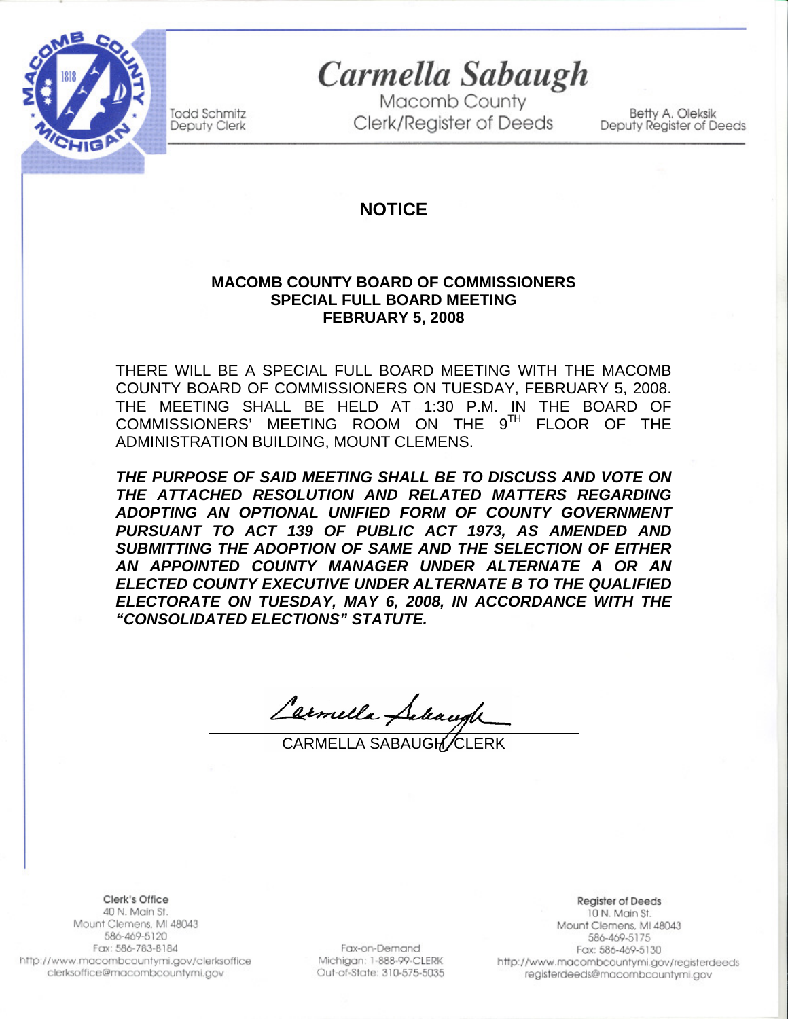

**Todd Schmitz** 

Deputy Clerk

Carmella Sabaugh

Macomb County **Clerk/Register of Deeds** 

Betty A. Oleksik Deputy Register of Deeds

# **NOTICE**

#### **MACOMB COUNTY BOARD OF COMMISSIONERS SPECIAL FULL BOARD MEETING FEBRUARY 5, 2008**

THERE WILL BE A SPECIAL FULL BOARD MEETING WITH THE MACOMB COUNTY BOARD OF COMMISSIONERS ON TUESDAY, FEBRUARY 5, 2008. THE MEETING SHALL BE HELD AT 1:30 P.M. IN THE BOARD OF COMMISSIONERS' MEETING ROOM ON THE 9TH FLOOR OF THE ADMINISTRATION BUILDING, MOUNT CLEMENS.

*THE PURPOSE OF SAID MEETING SHALL BE TO DISCUSS AND VOTE ON THE ATTACHED RESOLUTION AND RELATED MATTERS REGARDING ADOPTING AN OPTIONAL UNIFIED FORM OF COUNTY GOVERNMENT PURSUANT TO ACT 139 OF PUBLIC ACT 1973, AS AMENDED AND SUBMITTING THE ADOPTION OF SAME AND THE SELECTION OF EITHER AN APPOINTED COUNTY MANAGER UNDER ALTERNATE A OR AN ELECTED COUNTY EXECUTIVE UNDER ALTERNATE B TO THE QUALIFIED ELECTORATE ON TUESDAY, MAY 6, 2008, IN ACCORDANCE WITH THE "CONSOLIDATED ELECTIONS" STATUTE.* 

Carmella Saleaugh

CARMELLA SABAUGH CLERK

Clerk's Office 40 N. Main St. Mount Clemens, MI 48043 586-469-5120 Fax: 586-783-8184 http://www.macombcountymi.gov/clerksoffice clerksoffice@macombcountymi.gov

l

Fax-on-Demand Michigan: 1-888-99-CLERK Out-of-State: 310-575-5035

**Register of Deeds** 10 N. Main St. Mount Clemens, MI 48043 586-469-5175 Fax: 586-469-5130 http://www.macombcountymi.gov/registerdeeds registerdeeds@macombcountymi.gov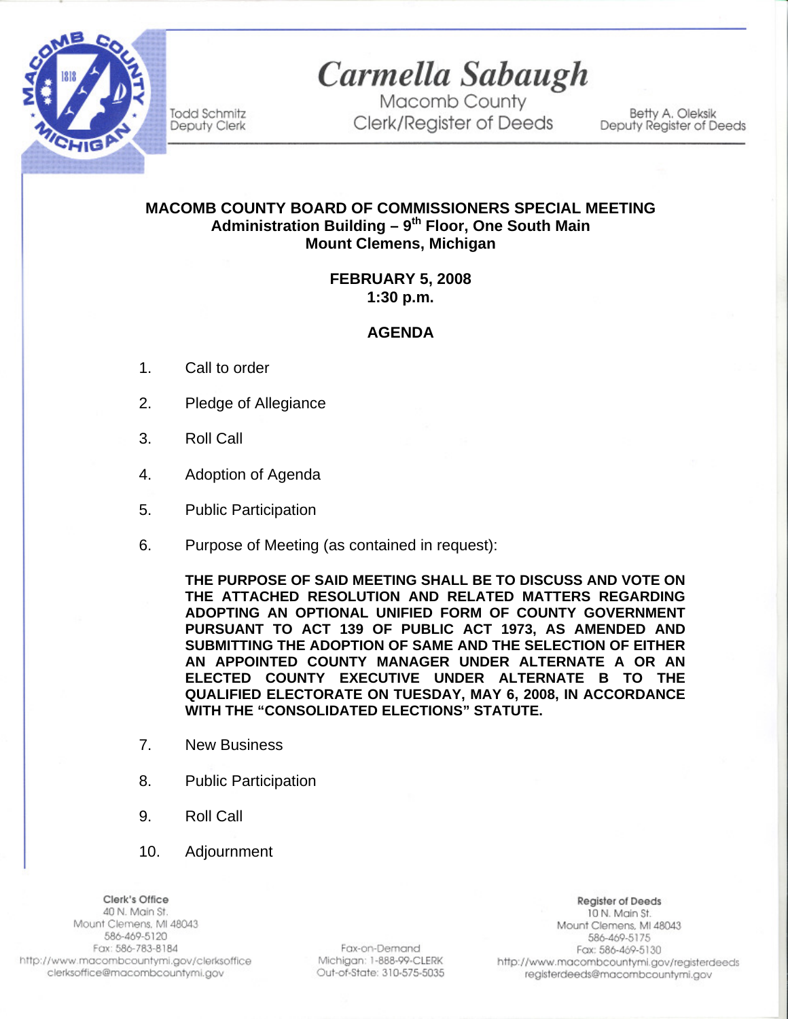

Carmella Sabaugh

Macomb County Clerk/Register of Deeds

Betty A. Oleksik Deputy Register of Deeds

## **MACOMB COUNTY BOARD OF COMMISSIONERS SPECIAL MEETING**  Administration Building - 9<sup>th</sup> Floor, One South Main **Mount Clemens, Michigan**

### **FEBRUARY 5, 2008 1:30 p.m.**

### **AGENDA**

1. Call to order

**Todd Schmitz** 

Deputy Clerk

- 2. Pledge of Allegiance
- 3. Roll Call
- 4. Adoption of Agenda
- 5. Public Participation
- 6. Purpose of Meeting (as contained in request):

**THE PURPOSE OF SAID MEETING SHALL BE TO DISCUSS AND VOTE ON THE ATTACHED RESOLUTION AND RELATED MATTERS REGARDING ADOPTING AN OPTIONAL UNIFIED FORM OF COUNTY GOVERNMENT PURSUANT TO ACT 139 OF PUBLIC ACT 1973, AS AMENDED AND SUBMITTING THE ADOPTION OF SAME AND THE SELECTION OF EITHER AN APPOINTED COUNTY MANAGER UNDER ALTERNATE A OR AN ELECTED COUNTY EXECUTIVE UNDER ALTERNATE B TO THE QUALIFIED ELECTORATE ON TUESDAY, MAY 6, 2008, IN ACCORDANCE WITH THE "CONSOLIDATED ELECTIONS" STATUTE.** 

- 7. New Business
- 8. Public Participation
- 9. Roll Call
- 10. Adjournment

Clerk's Office 40 N. Main St. Mount Clemens, MI 48043 586-469-5120 Fax: 586-783-8184 http://www.macombcountymi.gov/clerksoffice clerksoffice@macombcountymi.gov

Fax-on-Demand Michigan: 1-888-99-CLERK Out-of-State: 310-575-5035

**Register of Deeds** 10 N. Main St. Mount Clemens, MI 48043 586-469-5175 Fax: 586-469-5130 http://www.macombcountymi.gov/registerdeeds registerdeeds@macombcountymi.gov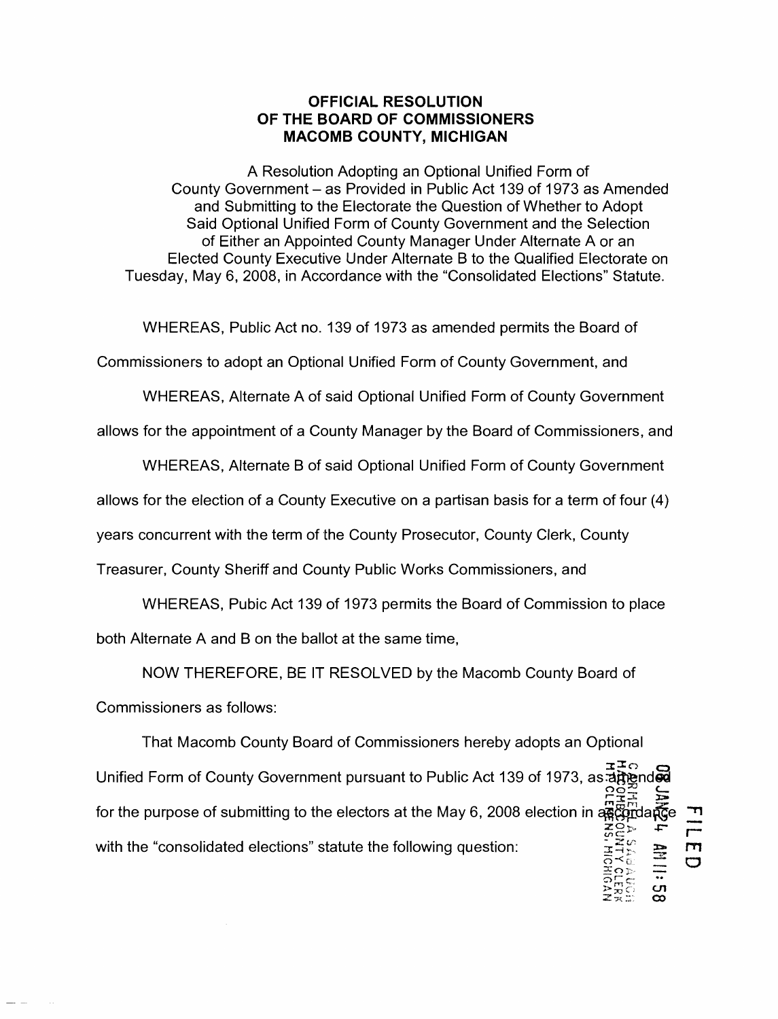#### **OFFICIAL RESOLUTION OF THE BOARD OF COMMISSIONERS MACOMB COUNTY, MICHIGAN**

A Resolution Adopting an Optional Unified Form of County Government – as Provided in Public Act 139 of 1973 as Amended and Submitting to the Electorate the Question of Whether to Adopt Said Optional Unified Form of County Government and the Selection of Either an Appointed County Manager Under Alternate A or an Elected County Executive Under Alternate B to the Qualified Electorate on Tuesday, May 6,2008, in Accordance with the "Consolidated Elections" Statute.

WHEREAS, Public Act no. 139 of 1973 as amended permits the Board of

Commissioners to adopt an Optional Unified Form of County Government, and

WHEREAS, Alternate A of said Optional Unified Form of County Government

allows for the appointment of a County Manager by the Board of Commissioners, and

WHEREAS, Alternate B of said Optional Unified Form of County Government

allows for the election of a County Executive on a partisan basis for a term of four (4)

years concurrent with the term of the County Prosecutor, County Clerk, County

Treasurer, County Sheriff and County Public Works Commissioners, and

WHEREAS, Pubic Act 139 of 1973 permits the Board of Comrnission to place

both Alternate A and B on the ballot at the same time,

NOW THEREFORE, BE IT RESOLVED by the Macomb County Board of

Commissioners as follows:

That Macomb County Board of Commissioners hereby adopts an Optional  $z = c$ Unified Form of County Government pursuant to Public Act 139 of 1973, as:appendآU.<br>ب Acce  $\Xi^{\text{max}}_{\text{max}}$ for the purpose of submitting to the electors at the May 6, 2008 election in ascendance  $C_{\infty}$  +  $\sum_{i=1}^{\infty}$ with the "consolidated elections" statute the following question: 효수 - 그  $"$ r-I'TI  $\overline{C}$ 

 $x_{\Omega \triangleright z}$  : ດ $\sqsubset$ ຕ  $\frac{1}{2}$  $\frac{1}{2}$  $\frac{1}{2}$  $\frac{1}{2}$  $\frac{1}{2}$  $\frac{1}{2}$